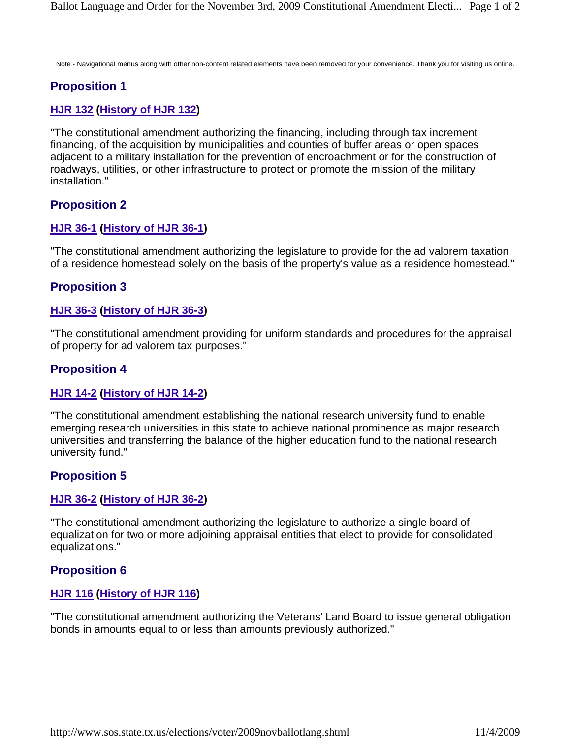Note - Navigational menus along with other non-content related elements have been removed for your convenience. Thank you for visiting us online.

# **Proposition 1**

### **HJR 132 (History of HJR 132)**

"The constitutional amendment authorizing the financing, including through tax increment financing, of the acquisition by municipalities and counties of buffer areas or open spaces adjacent to a military installation for the prevention of encroachment or for the construction of roadways, utilities, or other infrastructure to protect or promote the mission of the military installation."

## **Proposition 2**

### **HJR 36-1 (History of HJR 36-1)**

"The constitutional amendment authorizing the legislature to provide for the ad valorem taxation of a residence homestead solely on the basis of the property's value as a residence homestead."

## **Proposition 3**

### **HJR 36-3 (History of HJR 36-3)**

"The constitutional amendment providing for uniform standards and procedures for the appraisal of property for ad valorem tax purposes."

## **Proposition 4**

### **HJR 14-2 (History of HJR 14-2)**

"The constitutional amendment establishing the national research university fund to enable emerging research universities in this state to achieve national prominence as major research universities and transferring the balance of the higher education fund to the national research university fund."

## **Proposition 5**

### **HJR 36-2 (History of HJR 36-2)**

"The constitutional amendment authorizing the legislature to authorize a single board of equalization for two or more adjoining appraisal entities that elect to provide for consolidated equalizations."

## **Proposition 6**

### **HJR 116 (History of HJR 116)**

"The constitutional amendment authorizing the Veterans' Land Board to issue general obligation bonds in amounts equal to or less than amounts previously authorized."